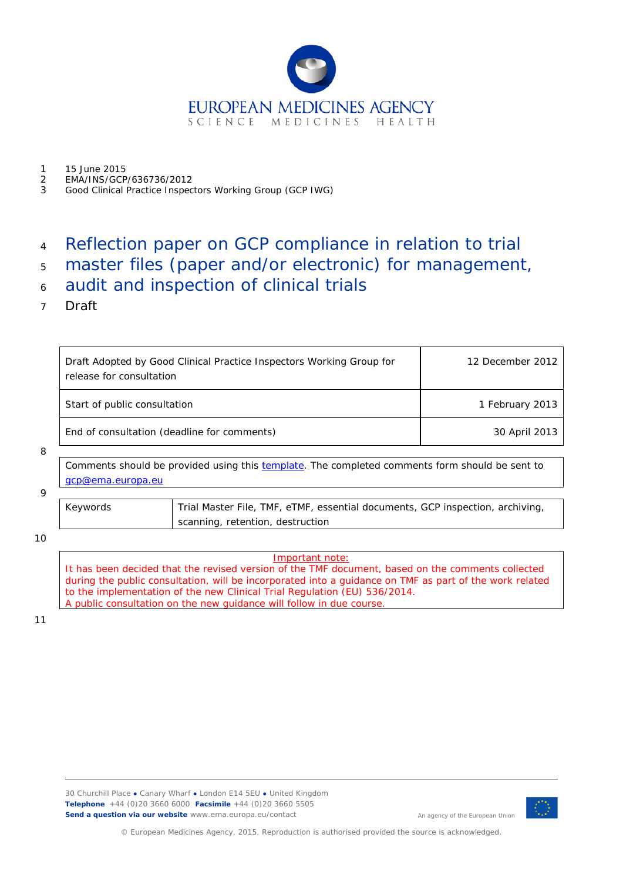

- 1 15 June 2015<br>2 EMA/INS/GCP
- 2 EMA/INS/GCP/636736/2012
- 3 Good Clinical Practice Inspectors Working Group (GCP IWG)

# <sup>4</sup> Reflection paper on GCP compliance in relation to trial

- <sup>5</sup> master files (paper and/or electronic) for management,
- <sup>6</sup> audit and inspection of clinical trials
- 7 Draft

|  | Draft Adopted by Good Clinical Practice Inspectors Working Group for<br>release for consultation | 12 December 2012 |
|--|--------------------------------------------------------------------------------------------------|------------------|
|  | Start of public consultation                                                                     | 1 February 2013  |
|  | End of consultation (deadline for comments)                                                      | 30 April 2013    |

#### 8

Comments should be provided using this [template.](http://www.ema.europa.eu/docs/en_GB/document_library/Template_or_form/2009/10/WC500004016.doc) The completed comments form should be sent to [gcp@ema.europa.eu](mailto:gcp@ema.europa.eu)

### 9

| Keywords | Trial Master File, TMF, eTMF, essential documents, GCP inspection, archiving, |
|----------|-------------------------------------------------------------------------------|
|          | scanning, retention, destruction                                              |

10

Important note: It has been decided that the revised version of the TMF document, based on the comments collected during the public consultation, will be incorporated into a guidance on TMF as part of the work related to the implementation of the new Clinical Trial Regulation (EU) 536/2014. A public consultation on the new guidance will follow in due course.

11



An agency of the European Union

© European Medicines Agency, 2015. Reproduction is authorised provided the source is acknowledged.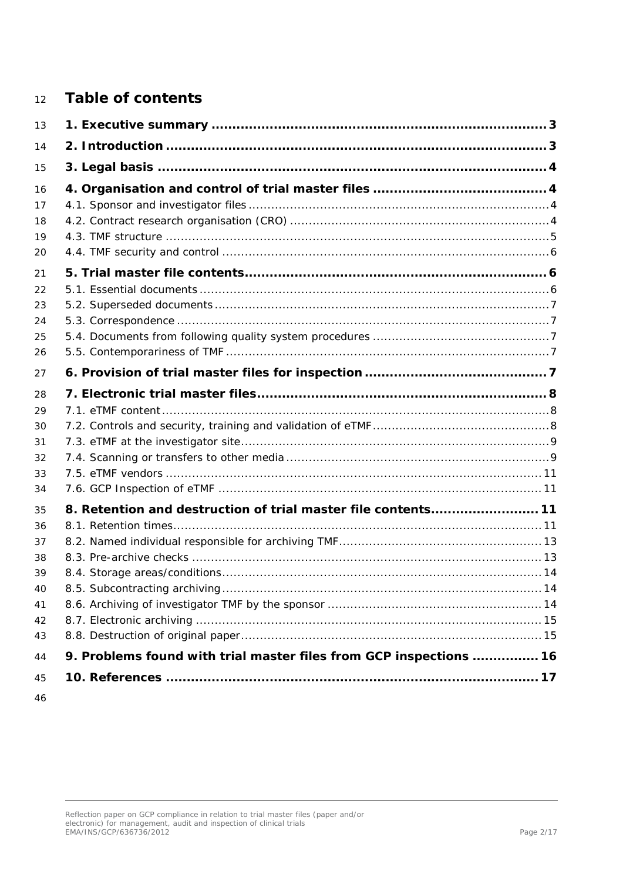## **Table of contents**

| 13 |                                                                    |  |
|----|--------------------------------------------------------------------|--|
| 14 |                                                                    |  |
| 15 |                                                                    |  |
| 16 |                                                                    |  |
| 17 |                                                                    |  |
| 18 |                                                                    |  |
| 19 |                                                                    |  |
| 20 |                                                                    |  |
| 21 |                                                                    |  |
| 22 |                                                                    |  |
| 23 |                                                                    |  |
| 24 |                                                                    |  |
| 25 |                                                                    |  |
| 26 |                                                                    |  |
| 27 |                                                                    |  |
| 28 |                                                                    |  |
| 29 |                                                                    |  |
| 30 |                                                                    |  |
| 31 |                                                                    |  |
| 32 |                                                                    |  |
| 33 |                                                                    |  |
| 34 |                                                                    |  |
| 35 | 8. Retention and destruction of trial master file contents 11      |  |
| 36 |                                                                    |  |
| 37 |                                                                    |  |
| 38 |                                                                    |  |
| 39 |                                                                    |  |
| 40 |                                                                    |  |
| 41 |                                                                    |  |
| 42 |                                                                    |  |
| 43 |                                                                    |  |
| 44 | 9. Problems found with trial master files from GCP inspections  16 |  |
| 45 |                                                                    |  |
| 46 |                                                                    |  |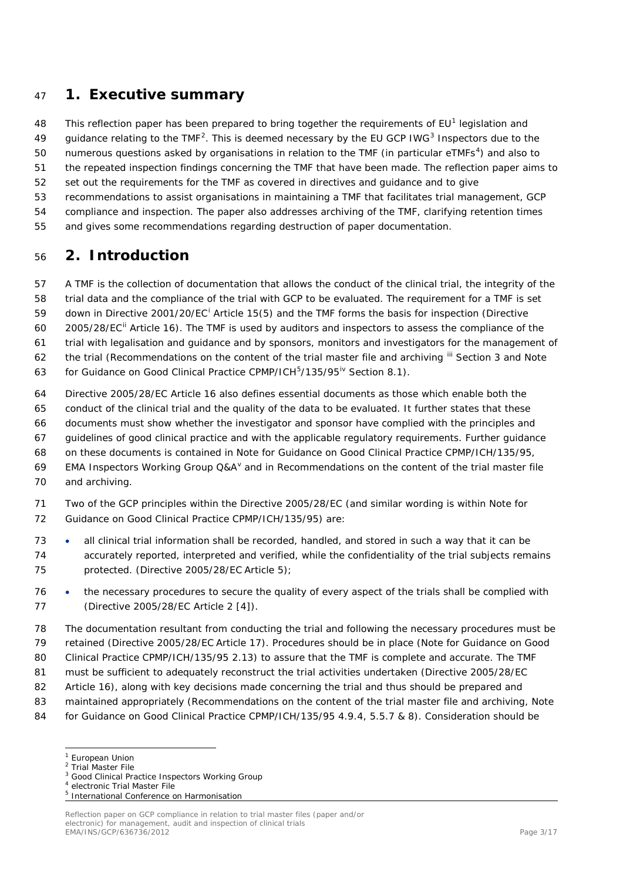## <span id="page-2-0"></span>**1. Executive summary**

48 This reflection paper has been prepared to bring together the requirements of EU<sup>[1](#page-2-2)</sup> legislation and

49 guidance relating to the TMF<sup>[2](#page-2-3)</sup>. This is deemed necessary by the EU GCP IWG<sup>[3](#page-2-4)</sup> Inspectors due to the

50 numerous questions asked by organisations in relation to the TMF (in particular  $e$ TMFs<sup>[4](#page-2-5)</sup>) and also to

the repeated inspection findings concerning the TMF that have been made. The reflection paper aims to

- set out the requirements for the TMF as covered in directives and guidance and to give
- recommendations to assist organisations in maintaining a TMF that facilitates trial management, GCP
- compliance and inspection. The paper also addresses archiving of the TMF, clarifying retention times
- and gives some recommendations regarding destruction of paper documentation.

## <span id="page-2-1"></span>**2. Introduction**

A TMF is the collection of documentation that allows the conduct of the clinical trial, the integrity of the

trial data and the compliance of the trial with GCP to be evaluated. The requirement for a TMF is set

59 down [i](#page-16-1)n Directive 2001/20/EC<sup>1</sup> Article 15(5) and the TMF forms the basis for inspection (Directive

- 60 2005/28/EC<sup>[ii](#page-16-2)</sup> Article 16). The TMF is used by auditors and inspectors to assess the compliance of the
- trial with legalisation and guidance and by sponsors, monitors and investigators for the management of
- 62 the trial (Recommendations on the content of the trial master file and archiving <sup>[iii](#page-16-3)</sup> Section 3 and Note
- 63 for Guidance on Good Clinical Practice CPMP/ICH<sup>[5](#page-2-6)</sup>/135/95<sup>[iv](#page-16-4)</sup> Section 8.1).
- Directive 2005/28/EC Article 16 also defines essential documents as those which enable both the
- conduct of the clinical trial and the quality of the data to be evaluated. It further states that these
- documents must show whether the investigator and sponsor have complied with the principles and
- guidelines of good clinical practice and with the applicable regulatory requirements. Further guidance
- on these documents is contained in Note for Guidance on Good Clinical Practice CPMP/ICH/135/95,
- 69 EMA Inspectors Working Group  $Q\&A^{\vee}$  $Q\&A^{\vee}$  $Q\&A^{\vee}$  and in Recommendations on the content of the trial master file and archiving.
- Two of the GCP principles within the Directive 2005/28/EC (and similar wording is within Note for Guidance on Good Clinical Practice CPMP/ICH/135/95) are:
- all clinical trial information shall be recorded, handled, and stored in such a way that it can be accurately reported, interpreted and verified, while the confidentiality of the trial subjects remains protected. (Directive 2005/28/EC Article 5);
- the necessary procedures to secure the quality of every aspect of the trials shall be complied with (Directive 2005/28/EC Article 2 [4]).
- The documentation resultant from conducting the trial and following the necessary procedures must be retained (Directive 2005/28/EC Article 17). Procedures should be in place (Note for Guidance on Good
- 80 Clinical Practice CPMP/ICH/135/95 2.13) to assure that the TMF is complete and accurate. The TMF
- must be sufficient to adequately reconstruct the trial activities undertaken (Directive 2005/28/EC
- Article 16), along with key decisions made concerning the trial and thus should be prepared and
- maintained appropriately (Recommendations on the content of the trial master file and archiving, Note
- <span id="page-2-2"></span>for Guidance on Good Clinical Practice CPMP/ICH/135/95 4.9.4, 5.5.7 & 8). Consideration should be

European Union<br> $2$  Trial Master File

<span id="page-2-5"></span><span id="page-2-4"></span><span id="page-2-3"></span><sup>&</sup>lt;sup>3</sup> Good Clinical Practice Inspectors Working Group

<span id="page-2-6"></span>electronic Trial Master File <sup>5</sup> International Conference on Harmonisation

Reflection paper on GCP compliance in relation to trial master files (paper and/or electronic) for management, audit and inspection of clinical trials EMA/INS/GCP/636736/2012 Page 3/17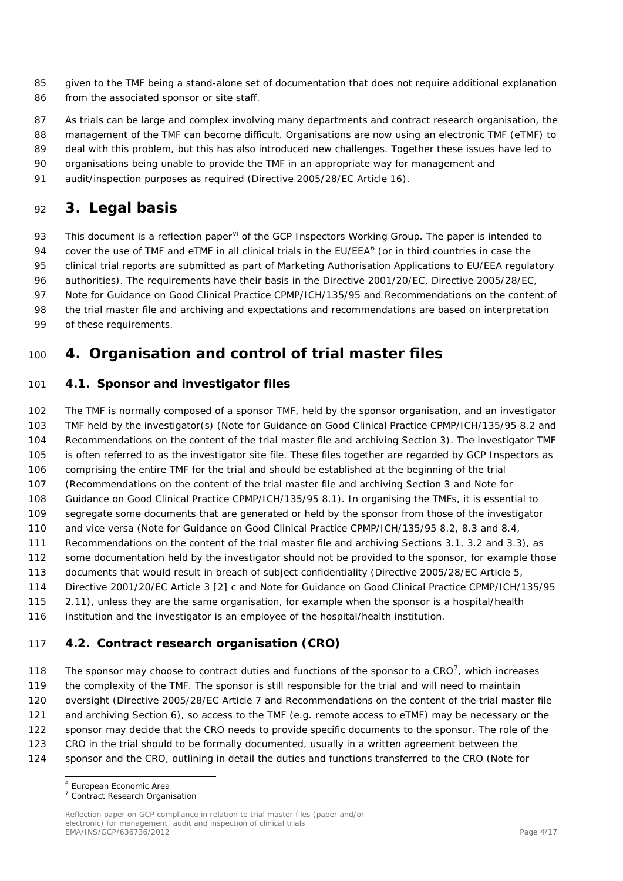- given to the TMF being a stand-alone set of documentation that does not require additional explanation 86 from the associated sponsor or site staff.
- 87 As trials can be large and complex involving many departments and contract research organisation, the
- 88 management of the TMF can become difficult. Organisations are now using an electronic TMF (eTMF) to
- 89 deal with this problem, but this has also introduced new challenges. Together these issues have led to
- organisations being unable to provide the TMF in an appropriate way for management and
- audit/inspection purposes as required (Directive 2005/28/EC Article 16).

## <span id="page-3-0"></span>**3. Legal basis**

93 This document is a reflection paper<sup>[vi](#page-16-6)</sup> of the GCP Inspectors Working Group. The paper is intended to

94 cover the use of TMF and eTMF in all clinical trials in the EU/EEA $<sup>6</sup>$  $<sup>6</sup>$  $<sup>6</sup>$  (or in third countries in case the</sup>

clinical trial reports are submitted as part of Marketing Authorisation Applications to EU/EEA regulatory

- authorities). The requirements have their basis in the Directive 2001/20/EC, Directive 2005/28/EC,
- 97 Note for Guidance on Good Clinical Practice CPMP/ICH/135/95 and Recommendations on the content of
- the trial master file and archiving and expectations and recommendations are based on interpretation
- of these requirements.

## <span id="page-3-1"></span>**4. Organisation and control of trial master files**

### <span id="page-3-2"></span>*4.1. Sponsor and investigator files*

 The TMF is normally composed of a sponsor TMF, held by the sponsor organisation, and an investigator TMF held by the investigator(s) (Note for Guidance on Good Clinical Practice CPMP/ICH/135/95 8.2 and Recommendations on the content of the trial master file and archiving Section 3). The investigator TMF is often referred to as the investigator site file. These files together are regarded by GCP Inspectors as comprising the entire TMF for the trial and should be established at the beginning of the trial (Recommendations on the content of the trial master file and archiving Section 3 and Note for Guidance on Good Clinical Practice CPMP/ICH/135/95 8.1). In organising the TMFs, it is essential to segregate some documents that are generated or held by the sponsor from those of the investigator and vice versa (Note for Guidance on Good Clinical Practice CPMP/ICH/135/95 8.2, 8.3 and 8.4, Recommendations on the content of the trial master file and archiving Sections 3.1, 3.2 and 3.3), as some documentation held by the investigator should not be provided to the sponsor, for example those documents that would result in breach of subject confidentiality (Directive 2005/28/EC Article 5, Directive 2001/20/EC Article 3 [2] c and Note for Guidance on Good Clinical Practice CPMP/ICH/135/95 2.11), unless they are the same organisation, for example when the sponsor is a hospital/health institution and the investigator is an employee of the hospital/health institution.

### <span id="page-3-3"></span>*4.2. Contract research organisation (CRO)*

The sponsor may choose to contract duties and functions of the sponsor to a CRO $^7$  $^7$ , which increases the complexity of the TMF. The sponsor is still responsible for the trial and will need to maintain oversight (Directive 2005/28/EC Article 7 and Recommendations on the content of the trial master file and archiving Section 6), so access to the TMF (e.g. remote access to eTMF) may be necessary or the sponsor may decide that the CRO needs to provide specific documents to the sponsor. The role of the CRO in the trial should to be formally documented, usually in a written agreement between the sponsor and the CRO, outlining in detail the duties and functions transferred to the CRO (Note for

<span id="page-3-4"></span>European Economic Area

<span id="page-3-5"></span>Contract Research Organisation

Reflection paper on GCP compliance in relation to trial master files (paper and/or electronic) for management, audit and inspection of clinical trials EMA/INS/GCP/636736/2012 Page 4/17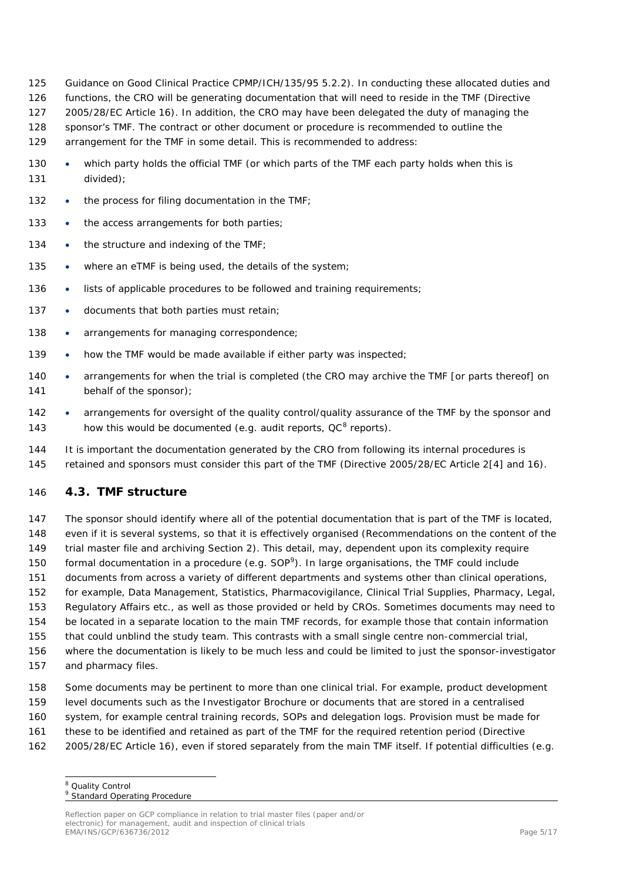- 125 Guidance on Good Clinical Practice CPMP/ICH/135/95 5.2.2). In conducting these allocated duties and
- 126 functions, the CRO will be generating documentation that will need to reside in the TMF (Directive
- 127 2005/28/EC Article 16). In addition, the CRO may have been delegated the duty of managing the
- 128 sponsor's TMF. The contract or other document or procedure is recommended to outline the
- 129 arrangement for the TMF in some detail. This is recommended to address:
- 130 which party holds the official TMF (or which parts of the TMF each party holds when this is 131 divided);
- 132 the process for filing documentation in the TMF;
- 133 the access arrangements for both parties;
- 134 the structure and indexing of the TMF:
- 135 where an eTMF is being used, the details of the system;
- 136 lists of applicable procedures to be followed and training requirements;
- 137 documents that both parties must retain;
- 138 arrangements for managing correspondence;
- 139 how the TMF would be made available if either party was inspected;
- 140 arrangements for when the trial is completed (the CRO may archive the TMF [or parts thereof] on 141 behalf of the sponsor);
- 142 arrangements for oversight of the quality control/quality assurance of the TMF by the sponsor and 143 how this would be documented (e.g. audit reports,  $QC^8$  $QC^8$  reports).
- 144 It is important the documentation generated by the CRO from following its internal procedures is 145 retained and sponsors must consider this part of the TMF (Directive 2005/28/EC Article 2[4] and 16).

### <span id="page-4-0"></span>146 *4.3. TMF structure*

 The sponsor should identify where all of the potential documentation that is part of the TMF is located, even if it is several systems, so that it is effectively organised (Recommendations on the content of the trial master file and archiving Section 2). This detail, may, dependent upon its complexity require 150 formal documentation in a procedure (e.g.  $SOP<sup>9</sup>$  $SOP<sup>9</sup>$  $SOP<sup>9</sup>$ ). In large organisations, the TMF could include documents from across a variety of different departments and systems other than clinical operations, for example, Data Management, Statistics, Pharmacovigilance, Clinical Trial Supplies, Pharmacy, Legal, Regulatory Affairs etc., as well as those provided or held by CROs. Sometimes documents may need to be located in a separate location to the main TMF records, for example those that contain information that could unblind the study team. This contrasts with a small single centre non-commercial trial, where the documentation is likely to be much less and could be limited to just the sponsor-investigator and pharmacy files.

- 158 Some documents may be pertinent to more than one clinical trial. For example, product development 159 level documents such as the Investigator Brochure or documents that are stored in a centralised 160 system, for example central training records, SOPs and delegation logs. Provision must be made for 161 these to be identified and retained as part of the TMF for the required retention period (Directive
- <span id="page-4-2"></span><span id="page-4-1"></span>162 2005/28/EC Article 16), even if stored separately from the main TMF itself. If potential difficulties (e.g.

<sup>&</sup>lt;sup>8</sup> Quality Control

<sup>&</sup>lt;sup>9</sup> Standard Operating Procedure

Reflection paper on GCP compliance in relation to trial master files (paper and/or electronic) for management, audit and inspection of clinical trials EMA/INS/GCP/636736/2012 Page 5/17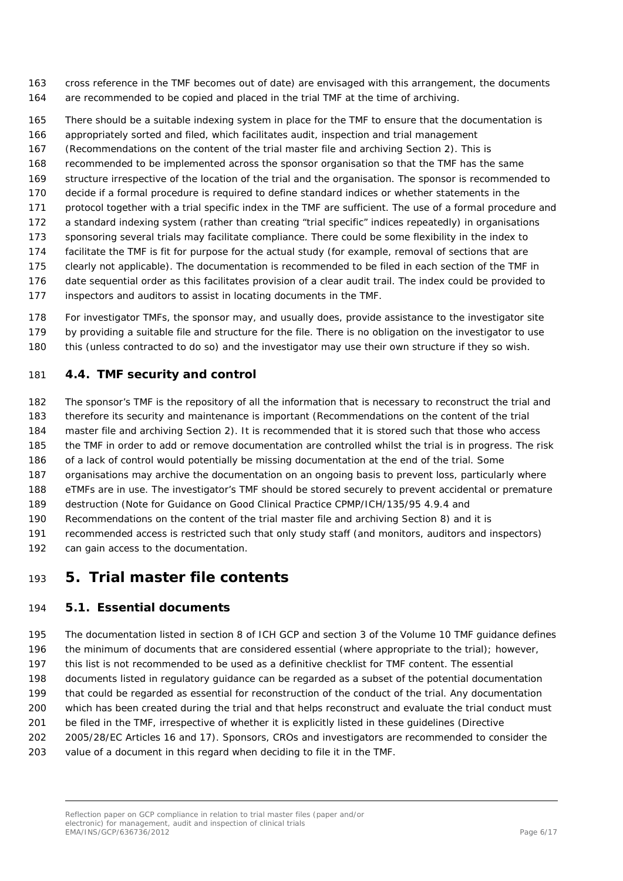- cross reference in the TMF becomes out of date) are envisaged with this arrangement, the documents are recommended to be copied and placed in the trial TMF at the time of archiving.
- There should be a suitable indexing system in place for the TMF to ensure that the documentation is
- appropriately sorted and filed, which facilitates audit, inspection and trial management
- (Recommendations on the content of the trial master file and archiving Section 2). This is
- recommended to be implemented across the sponsor organisation so that the TMF has the same
- structure irrespective of the location of the trial and the organisation. The sponsor is recommended to
- decide if a formal procedure is required to define standard indices or whether statements in the
- protocol together with a trial specific index in the TMF are sufficient. The use of a formal procedure and
- a standard indexing system (rather than creating "trial specific" indices repeatedly) in organisations
- sponsoring several trials may facilitate compliance. There could be some flexibility in the index to
- facilitate the TMF is fit for purpose for the actual study (for example, removal of sections that are
- clearly not applicable). The documentation is recommended to be filed in each section of the TMF in date sequential order as this facilitates provision of a clear audit trail. The index could be provided to
- - inspectors and auditors to assist in locating documents in the TMF.
	- For investigator TMFs, the sponsor may, and usually does, provide assistance to the investigator site by providing a suitable file and structure for the file. There is no obligation on the investigator to use this (unless contracted to do so) and the investigator may use their own structure if they so wish.

### <span id="page-5-0"></span>*4.4. TMF security and control*

 The sponsor's TMF is the repository of all the information that is necessary to reconstruct the trial and therefore its security and maintenance is important (Recommendations on the content of the trial master file and archiving Section 2). It is recommended that it is stored such that those who access the TMF in order to add or remove documentation are controlled whilst the trial is in progress. The risk of a lack of control would potentially be missing documentation at the end of the trial. Some organisations may archive the documentation on an ongoing basis to prevent loss, particularly where eTMFs are in use. The investigator's TMF should be stored securely to prevent accidental or premature destruction (Note for Guidance on Good Clinical Practice CPMP/ICH/135/95 4.9.4 and Recommendations on the content of the trial master file and archiving Section 8) and it is recommended access is restricted such that only study staff (and monitors, auditors and inspectors) 192 can gain access to the documentation.

## <span id="page-5-1"></span>**5. Trial master file contents**

### <span id="page-5-2"></span>*5.1. Essential documents*

 The documentation listed in section 8 of ICH GCP and section 3 of the Volume 10 TMF guidance defines the minimum of documents that are considered essential (where appropriate to the trial); however, this list is not recommended to be used as a definitive checklist for TMF content. The essential

documents listed in regulatory guidance can be regarded as a subset of the potential documentation

- that could be regarded as essential for reconstruction of the conduct of the trial. Any documentation
- which has been created during the trial and that helps reconstruct and evaluate the trial conduct must
- be filed in the TMF, irrespective of whether it is explicitly listed in these guidelines (Directive
- 2005/28/EC Articles 16 and 17). Sponsors, CROs and investigators are recommended to consider the
- value of a document in this regard when deciding to file it in the TMF.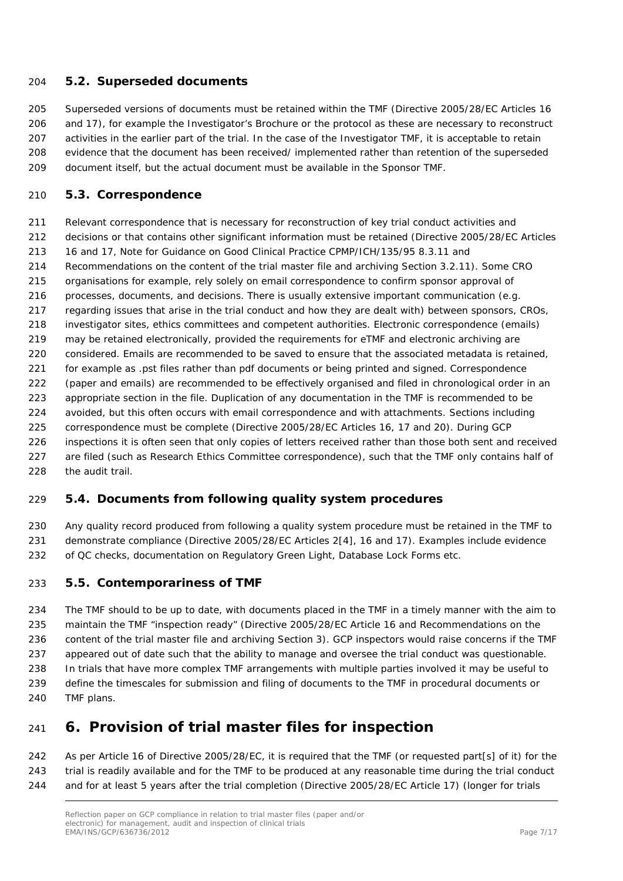### <span id="page-6-0"></span>*5.2. Superseded documents*

 Superseded versions of documents must be retained within the TMF (Directive 2005/28/EC Articles 16 and 17), for example the Investigator's Brochure or the protocol as these are necessary to reconstruct activities in the earlier part of the trial. In the case of the Investigator TMF, it is acceptable to retain evidence that the document has been received/ implemented rather than retention of the superseded document itself, but the actual document must be available in the Sponsor TMF.

### <span id="page-6-1"></span>*5.3. Correspondence*

 Relevant correspondence that is necessary for reconstruction of key trial conduct activities and 212 decisions or that contains other significant information must be retained (Directive 2005/28/EC Articles 16 and 17, Note for Guidance on Good Clinical Practice CPMP/ICH/135/95 8.3.11 and Recommendations on the content of the trial master file and archiving Section 3.2.11). Some CRO organisations for example, rely solely on email correspondence to confirm sponsor approval of processes, documents, and decisions. There is usually extensive important communication (e.g. regarding issues that arise in the trial conduct and how they are dealt with) between sponsors, CROs, investigator sites, ethics committees and competent authorities. Electronic correspondence (emails) may be retained electronically, provided the requirements for eTMF and electronic archiving are considered. Emails are recommended to be saved to ensure that the associated metadata is retained, for example as .pst files rather than pdf documents or being printed and signed. Correspondence (paper and emails) are recommended to be effectively organised and filed in chronological order in an appropriate section in the file. Duplication of any documentation in the TMF is recommended to be avoided, but this often occurs with email correspondence and with attachments. Sections including correspondence must be complete (Directive 2005/28/EC Articles 16, 17 and 20). During GCP inspections it is often seen that only copies of letters received rather than those both sent and received 227 are filed (such as Research Ethics Committee correspondence), such that the TMF only contains half of the audit trail.

### <span id="page-6-2"></span>*5.4. Documents from following quality system procedures*

 Any quality record produced from following a quality system procedure must be retained in the TMF to demonstrate compliance (Directive 2005/28/EC Articles 2[4], 16 and 17). Examples include evidence of QC checks, documentation on Regulatory Green Light, Database Lock Forms etc.

### <span id="page-6-3"></span>*5.5. Contemporariness of TMF*

 The TMF should to be up to date, with documents placed in the TMF in a timely manner with the aim to maintain the TMF "inspection ready" (Directive 2005/28/EC Article 16 and Recommendations on the content of the trial master file and archiving Section 3). GCP inspectors would raise concerns if the TMF appeared out of date such that the ability to manage and oversee the trial conduct was questionable. In trials that have more complex TMF arrangements with multiple parties involved it may be useful to define the timescales for submission and filing of documents to the TMF in procedural documents or TMF plans.

## <span id="page-6-4"></span>**6. Provision of trial master files for inspection**

 As per Article 16 of Directive 2005/28/EC, it is required that the TMF (or requested part[s] of it) for the trial is readily available and for the TMF to be produced at any reasonable time during the trial conduct and for at least 5 years after the trial completion (Directive 2005/28/EC Article 17) (longer for trials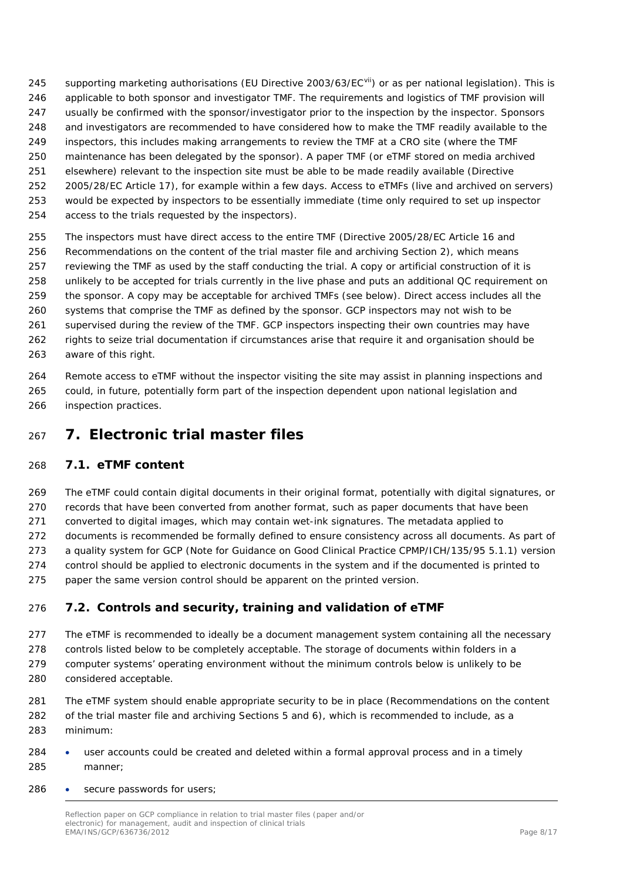- 245 supporting marketing authorisations (EU Directive 2003/63/EC<sup>[vii](#page-16-7)</sup>) or as per national legislation). This is
- applicable to both sponsor and investigator TMF. The requirements and logistics of TMF provision will usually be confirmed with the sponsor/investigator prior to the inspection by the inspector. Sponsors
- and investigators are recommended to have considered how to make the TMF readily available to the
- inspectors, this includes making arrangements to review the TMF at a CRO site (where the TMF
- maintenance has been delegated by the sponsor). A paper TMF (or eTMF stored on media archived
- elsewhere) relevant to the inspection site must be able to be made readily available (Directive
- 2005/28/EC Article 17), for example within a few days. Access to eTMFs (live and archived on servers)
- would be expected by inspectors to be essentially immediate (time only required to set up inspector
- access to the trials requested by the inspectors).
- The inspectors must have direct access to the entire TMF (Directive 2005/28/EC Article 16 and Recommendations on the content of the trial master file and archiving Section 2), which means reviewing the TMF as used by the staff conducting the trial. A copy or artificial construction of it is unlikely to be accepted for trials currently in the live phase and puts an additional QC requirement on the sponsor. A copy may be acceptable for archived TMFs (see below). Direct access includes all the systems that comprise the TMF as defined by the sponsor. GCP inspectors may not wish to be supervised during the review of the TMF. GCP inspectors inspecting their own countries may have rights to seize trial documentation if circumstances arise that require it and organisation should be 263 aware of this right.
- Remote access to eTMF without the inspector visiting the site may assist in planning inspections and could, in future, potentially form part of the inspection dependent upon national legislation and inspection practices.
- <span id="page-7-0"></span>**7. Electronic trial master files**

## <span id="page-7-1"></span>*7.1. eTMF content*

The eTMF could contain digital documents in their original format, potentially with digital signatures, or

records that have been converted from another format, such as paper documents that have been

converted to digital images, which may contain wet-ink signatures. The metadata applied to

documents is recommended be formally defined to ensure consistency across all documents. As part of

- a quality system for GCP (Note for Guidance on Good Clinical Practice CPMP/ICH/135/95 5.1.1) version control should be applied to electronic documents in the system and if the documented is printed to
- paper the same version control should be apparent on the printed version.

## <span id="page-7-2"></span>*7.2. Controls and security, training and validation of eTMF*

- 277 The eTMF is recommended to ideally be a document management system containing all the necessary 278 controls listed below to be completely acceptable. The storage of documents within folders in a computer systems' operating environment without the minimum controls below is unlikely to be considered acceptable.
- The eTMF system should enable appropriate security to be in place (Recommendations on the content of the trial master file and archiving Sections 5 and 6), which is recommended to include, as a minimum:
- user accounts could be created and deleted within a formal approval process and in a timely manner;
- secure passwords for users;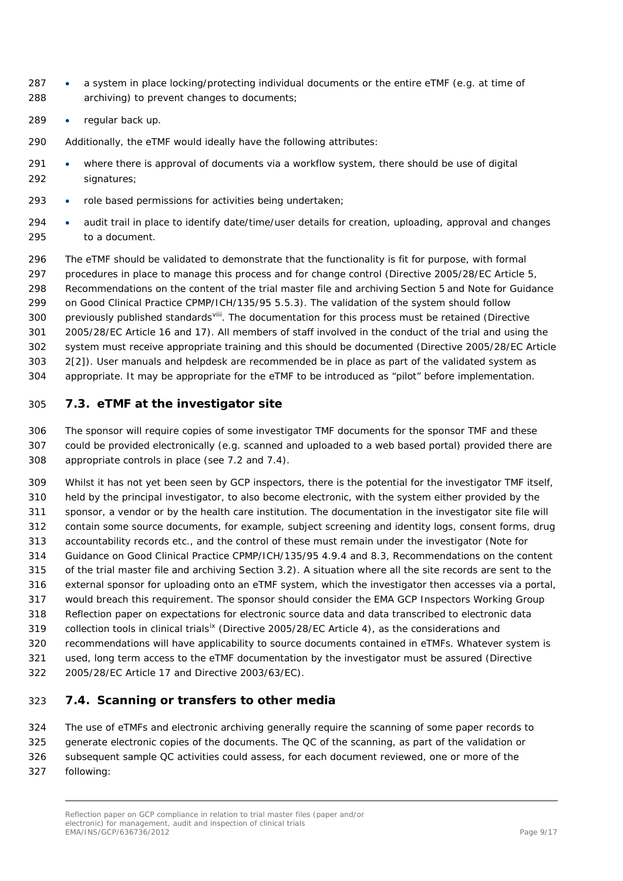- a system in place locking/protecting individual documents or the entire eTMF (e.g. at time of archiving) to prevent changes to documents;
- regular back up.
- Additionally, the eTMF would ideally have the following attributes:
- where there is approval of documents via a workflow system, there should be use of digital signatures;
- role based permissions for activities being undertaken;
- audit trail in place to identify date/time/user details for creation, uploading, approval and changes to a document.

 The eTMF should be validated to demonstrate that the functionality is fit for purpose, with formal procedures in place to manage this process and for change control (Directive 2005/28/EC Article 5, Recommendations on the content of the trial master file and archiving Section 5 and Note for Guidance on Good Clinical Practice CPMP/ICH/135/95 5.5.3). The validation of the system should follow 300 previously published standards<sup>[viii](#page-16-8)</sup>. The documentation for this process must be retained (Directive 2005/28/EC Article 16 and 17). All members of staff involved in the conduct of the trial and using the system must receive appropriate training and this should be documented (Directive 2005/28/EC Article 2[2]). User manuals and helpdesk are recommended be in place as part of the validated system as appropriate. It may be appropriate for the eTMF to be introduced as "pilot" before implementation.

### <span id="page-8-0"></span>*7.3. eTMF at the investigator site*

 The sponsor will require copies of some investigator TMF documents for the sponsor TMF and these could be provided electronically (e.g. scanned and uploaded to a web based portal) provided there are appropriate controls in place (see 7.2 and 7.4).

 Whilst it has not yet been seen by GCP inspectors, there is the potential for the investigator TMF itself, held by the principal investigator, to also become electronic, with the system either provided by the sponsor, a vendor or by the health care institution. The documentation in the investigator site file will contain some source documents, for example, subject screening and identity logs, consent forms, drug accountability records etc., and the control of these must remain under the investigator (Note for Guidance on Good Clinical Practice CPMP/ICH/135/95 4.9.4 and 8.3, Recommendations on the content of the trial master file and archiving Section 3.2). A situation where all the site records are sent to the external sponsor for uploading onto an eTMF system, which the investigator then accesses via a portal, would breach this requirement. The sponsor should consider the EMA GCP Inspectors Working Group Reflection paper on expectations for electronic source data and data transcribed to electronic data 319 collection tools in clinical trials<sup>[ix](#page-16-9)</sup> (Directive 2005/28/EC Article 4), as the considerations and recommendations will have applicability to source documents contained in eTMFs. Whatever system is used, long term access to the eTMF documentation by the investigator must be assured (Directive 2005/28/EC Article 17 and Directive 2003/63/EC).

### <span id="page-8-1"></span>*7.4. Scanning or transfers to other media*

 The use of eTMFs and electronic archiving generally require the scanning of some paper records to generate electronic copies of the documents. The QC of the scanning, as part of the validation or subsequent sample QC activities could assess, for each document reviewed, one or more of the

following: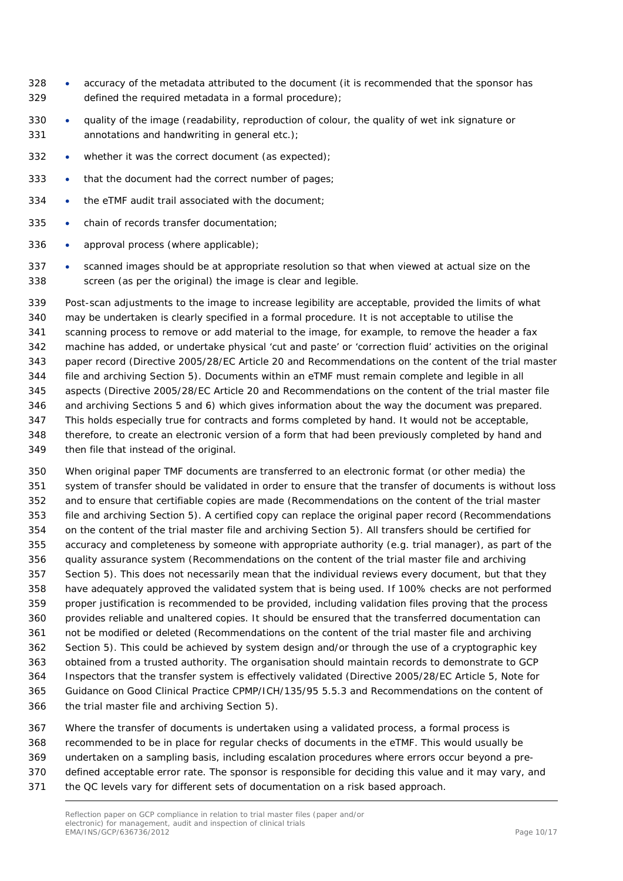- accuracy of the metadata attributed to the document (it is recommended that the sponsor has defined the required metadata in a formal procedure);
- quality of the image (readability, reproduction of colour, the quality of wet ink signature or annotations and handwriting in general etc.);
- whether it was the correct document (as expected);
- that the document had the correct number of pages;
- 334 the eTMF audit trail associated with the document;
- 335 chain of records transfer documentation;
- approval process (where applicable);
- scanned images should be at appropriate resolution so that when viewed at actual size on the screen (as per the original) the image is clear and legible.

 Post-scan adjustments to the image to increase legibility are acceptable, provided the limits of what may be undertaken is clearly specified in a formal procedure. It is not acceptable to utilise the scanning process to remove or add material to the image, for example, to remove the header a fax machine has added, or undertake physical 'cut and paste' or 'correction fluid' activities on the original paper record (Directive 2005/28/EC Article 20 and Recommendations on the content of the trial master file and archiving Section 5). Documents within an eTMF must remain complete and legible in all aspects (Directive 2005/28/EC Article 20 and Recommendations on the content of the trial master file and archiving Sections 5 and 6) which gives information about the way the document was prepared. This holds especially true for contracts and forms completed by hand. It would not be acceptable, therefore, to create an electronic version of a form that had been previously completed by hand and then file that instead of the original.

 When original paper TMF documents are transferred to an electronic format (or other media) the system of transfer should be validated in order to ensure that the transfer of documents is without loss and to ensure that certifiable copies are made (Recommendations on the content of the trial master file and archiving Section 5). A certified copy can replace the original paper record (Recommendations on the content of the trial master file and archiving Section 5). All transfers should be certified for accuracy and completeness by someone with appropriate authority (e.g. trial manager), as part of the quality assurance system (Recommendations on the content of the trial master file and archiving Section 5). This does not necessarily mean that the individual reviews every document, but that they have adequately approved the validated system that is being used. If 100% checks are not performed proper justification is recommended to be provided, including validation files proving that the process provides reliable and unaltered copies. It should be ensured that the transferred documentation can not be modified or deleted (Recommendations on the content of the trial master file and archiving Section 5). This could be achieved by system design and/or through the use of a cryptographic key obtained from a trusted authority. The organisation should maintain records to demonstrate to GCP Inspectors that the transfer system is effectively validated (Directive 2005/28/EC Article 5, Note for Guidance on Good Clinical Practice CPMP/ICH/135/95 5.5.3 and Recommendations on the content of the trial master file and archiving Section 5).

 Where the transfer of documents is undertaken using a validated process, a formal process is recommended to be in place for regular checks of documents in the eTMF. This would usually be undertaken on a sampling basis, including escalation procedures where errors occur beyond a pre- defined acceptable error rate. The sponsor is responsible for deciding this value and it may vary, and the QC levels vary for different sets of documentation on a risk based approach.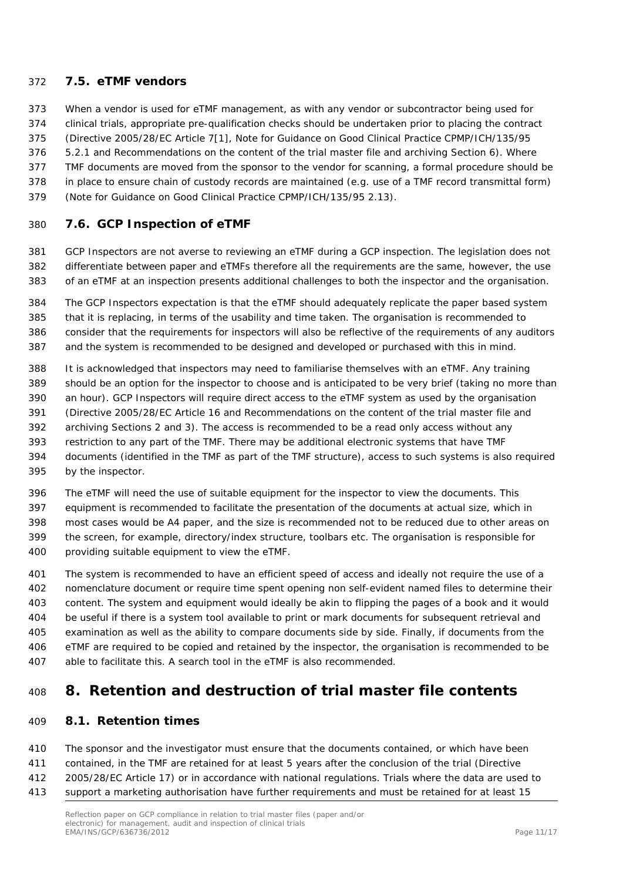### <span id="page-10-0"></span>*7.5. eTMF vendors*

When a vendor is used for eTMF management, as with any vendor or subcontractor being used for

- clinical trials, appropriate pre-qualification checks should be undertaken prior to placing the contract
- (Directive 2005/28/EC Article 7[1], Note for Guidance on Good Clinical Practice CPMP/ICH/135/95
- 5.2.1 and Recommendations on the content of the trial master file and archiving Section 6). Where
- TMF documents are moved from the sponsor to the vendor for scanning, a formal procedure should be
- in place to ensure chain of custody records are maintained (e.g. use of a TMF record transmittal form)
- (Note for Guidance on Good Clinical Practice CPMP/ICH/135/95 2.13).

### <span id="page-10-1"></span>*7.6. GCP Inspection of eTMF*

 GCP Inspectors are not averse to reviewing an eTMF during a GCP inspection. The legislation does not differentiate between paper and eTMFs therefore all the requirements are the same, however, the use of an eTMF at an inspection presents additional challenges to both the inspector and the organisation.

- The GCP Inspectors expectation is that the eTMF should adequately replicate the paper based system that it is replacing, in terms of the usability and time taken. The organisation is recommended to
- consider that the requirements for inspectors will also be reflective of the requirements of any auditors and the system is recommended to be designed and developed or purchased with this in mind.
- It is acknowledged that inspectors may need to familiarise themselves with an eTMF. Any training should be an option for the inspector to choose and is anticipated to be very brief (taking no more than
- an hour). GCP Inspectors will require direct access to the eTMF system as used by the organisation
- (Directive 2005/28/EC Article 16 and Recommendations on the content of the trial master file and
- archiving Sections 2 and 3). The access is recommended to be a read only access without any
- restriction to any part of the TMF. There may be additional electronic systems that have TMF
- documents (identified in the TMF as part of the TMF structure), access to such systems is also required by the inspector.
- The eTMF will need the use of suitable equipment for the inspector to view the documents. This
- equipment is recommended to facilitate the presentation of the documents at actual size, which in
- most cases would be A4 paper, and the size is recommended not to be reduced due to other areas on the screen, for example, directory/index structure, toolbars etc. The organisation is responsible for providing suitable equipment to view the eTMF.
- The system is recommended to have an efficient speed of access and ideally not require the use of a nomenclature document or require time spent opening non self-evident named files to determine their content. The system and equipment would ideally be akin to flipping the pages of a book and it would be useful if there is a system tool available to print or mark documents for subsequent retrieval and examination as well as the ability to compare documents side by side. Finally, if documents from the eTMF are required to be copied and retained by the inspector, the organisation is recommended to be able to facilitate this. A search tool in the eTMF is also recommended.

## <span id="page-10-2"></span>**8. Retention and destruction of trial master file contents**

#### <span id="page-10-3"></span>*8.1. Retention times*

 The sponsor and the investigator must ensure that the documents contained, or which have been contained, in the TMF are retained for at least 5 years after the conclusion of the trial (Directive 2005/28/EC Article 17) or in accordance with national regulations. Trials where the data are used to support a marketing authorisation have further requirements and must be retained for at least 15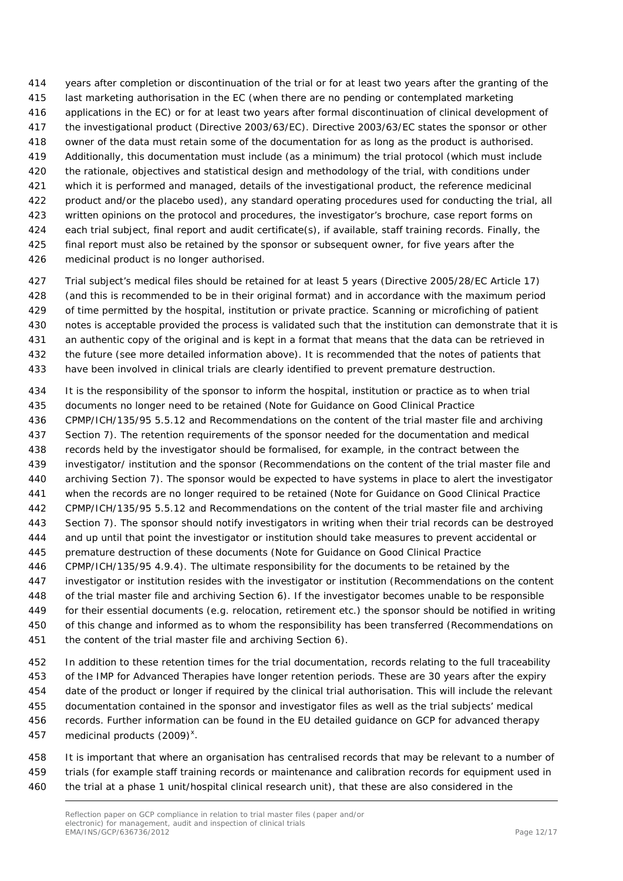years after completion or discontinuation of the trial or for at least two years after the granting of the last marketing authorisation in the EC (when there are no pending or contemplated marketing applications in the EC) or for at least two years after formal discontinuation of clinical development of the investigational product (Directive 2003/63/EC). Directive 2003/63/EC states the sponsor or other owner of the data must retain some of the documentation for as long as the product is authorised. Additionally, this documentation must include (as a minimum) the trial protocol (which must include the rationale, objectives and statistical design and methodology of the trial, with conditions under which it is performed and managed, details of the investigational product, the reference medicinal product and/or the placebo used), any standard operating procedures used for conducting the trial, all written opinions on the protocol and procedures, the investigator's brochure, case report forms on each trial subject, final report and audit certificate(s), if available, staff training records. Finally, the final report must also be retained by the sponsor or subsequent owner, for five years after the medicinal product is no longer authorised.

 Trial subject's medical files should be retained for at least 5 years (Directive 2005/28/EC Article 17) (and this is recommended to be in their original format) and in accordance with the maximum period of time permitted by the hospital, institution or private practice. Scanning or microfiching of patient notes is acceptable provided the process is validated such that the institution can demonstrate that it is an authentic copy of the original and is kept in a format that means that the data can be retrieved in the future (see more detailed information above). It is recommended that the notes of patients that

have been involved in clinical trials are clearly identified to prevent premature destruction.

 It is the responsibility of the sponsor to inform the hospital, institution or practice as to when trial documents no longer need to be retained (Note for Guidance on Good Clinical Practice CPMP/ICH/135/95 5.5.12 and Recommendations on the content of the trial master file and archiving Section 7). The retention requirements of the sponsor needed for the documentation and medical records held by the investigator should be formalised, for example, in the contract between the investigator/ institution and the sponsor (Recommendations on the content of the trial master file and archiving Section 7). The sponsor would be expected to have systems in place to alert the investigator when the records are no longer required to be retained (Note for Guidance on Good Clinical Practice CPMP/ICH/135/95 5.5.12 and Recommendations on the content of the trial master file and archiving Section 7). The sponsor should notify investigators in writing when their trial records can be destroyed and up until that point the investigator or institution should take measures to prevent accidental or premature destruction of these documents (Note for Guidance on Good Clinical Practice CPMP/ICH/135/95 4.9.4). The ultimate responsibility for the documents to be retained by the investigator or institution resides with the investigator or institution (Recommendations on the content of the trial master file and archiving Section 6). If the investigator becomes unable to be responsible for their essential documents (e.g. relocation, retirement etc.) the sponsor should be notified in writing

 of this change and informed as to whom the responsibility has been transferred (Recommendations on the content of the trial master file and archiving Section 6).

 In addition to these retention times for the trial documentation, records relating to the full traceability of the IMP for Advanced Therapies have longer retention periods. These are 30 years after the expiry date of the product or longer if required by the clinical trial authorisation. This will include the relevant documentation contained in the sponsor and investigator files as well as the trial subjects' medical records. Further information can be found in the EU detailed guidance on GCP for advanced therapy 457 medicinal products  $(2009)^{x}$  $(2009)^{x}$  $(2009)^{x}$ .

 It is important that where an organisation has centralised records that may be relevant to a number of trials (for example staff training records or maintenance and calibration records for equipment used in the trial at a phase 1 unit/hospital clinical research unit), that these are also considered in the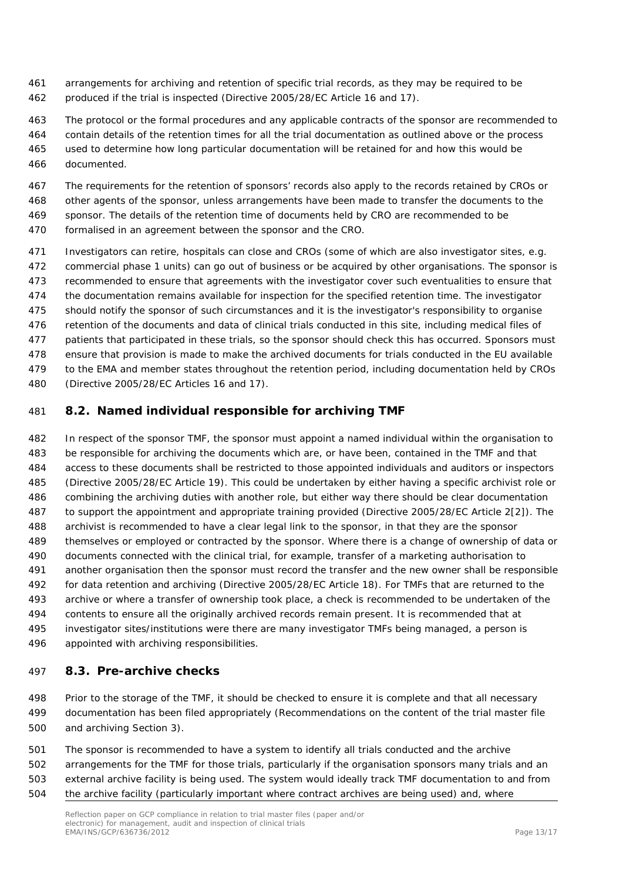- arrangements for archiving and retention of specific trial records, as they may be required to be produced if the trial is inspected (Directive 2005/28/EC Article 16 and 17).
- The protocol or the formal procedures and any applicable contracts of the sponsor are recommended to contain details of the retention times for all the trial documentation as outlined above or the process used to determine how long particular documentation will be retained for and how this would be documented.
- The requirements for the retention of sponsors' records also apply to the records retained by CROs or other agents of the sponsor, unless arrangements have been made to transfer the documents to the sponsor. The details of the retention time of documents held by CRO are recommended to be
- formalised in an agreement between the sponsor and the CRO.
- Investigators can retire, hospitals can close and CROs (some of which are also investigator sites, e.g. commercial phase 1 units) can go out of business or be acquired by other organisations. The sponsor is recommended to ensure that agreements with the investigator cover such eventualities to ensure that the documentation remains available for inspection for the specified retention time. The investigator should notify the sponsor of such circumstances and it is the investigator's responsibility to organise retention of the documents and data of clinical trials conducted in this site, including medical files of patients that participated in these trials, so the sponsor should check this has occurred. Sponsors must ensure that provision is made to make the archived documents for trials conducted in the EU available to the EMA and member states throughout the retention period, including documentation held by CROs (Directive 2005/28/EC Articles 16 and 17).

### <span id="page-12-0"></span>*8.2. Named individual responsible for archiving TMF*

 In respect of the sponsor TMF, the sponsor must appoint a named individual within the organisation to be responsible for archiving the documents which are, or have been, contained in the TMF and that access to these documents shall be restricted to those appointed individuals and auditors or inspectors (Directive 2005/28/EC Article 19). This could be undertaken by either having a specific archivist role or combining the archiving duties with another role, but either way there should be clear documentation to support the appointment and appropriate training provided (Directive 2005/28/EC Article 2[2]). The archivist is recommended to have a clear legal link to the sponsor, in that they are the sponsor themselves or employed or contracted by the sponsor. Where there is a change of ownership of data or documents connected with the clinical trial, for example, transfer of a marketing authorisation to another organisation then the sponsor must record the transfer and the new owner shall be responsible for data retention and archiving (Directive 2005/28/EC Article 18). For TMFs that are returned to the archive or where a transfer of ownership took place, a check is recommended to be undertaken of the contents to ensure all the originally archived records remain present. It is recommended that at investigator sites/institutions were there are many investigator TMFs being managed, a person is appointed with archiving responsibilities.

### <span id="page-12-1"></span>*8.3. Pre-archive checks*

 Prior to the storage of the TMF, it should be checked to ensure it is complete and that all necessary documentation has been filed appropriately (Recommendations on the content of the trial master file and archiving Section 3).

 The sponsor is recommended to have a system to identify all trials conducted and the archive arrangements for the TMF for those trials, particularly if the organisation sponsors many trials and an external archive facility is being used. The system would ideally track TMF documentation to and from the archive facility (particularly important where contract archives are being used) and, where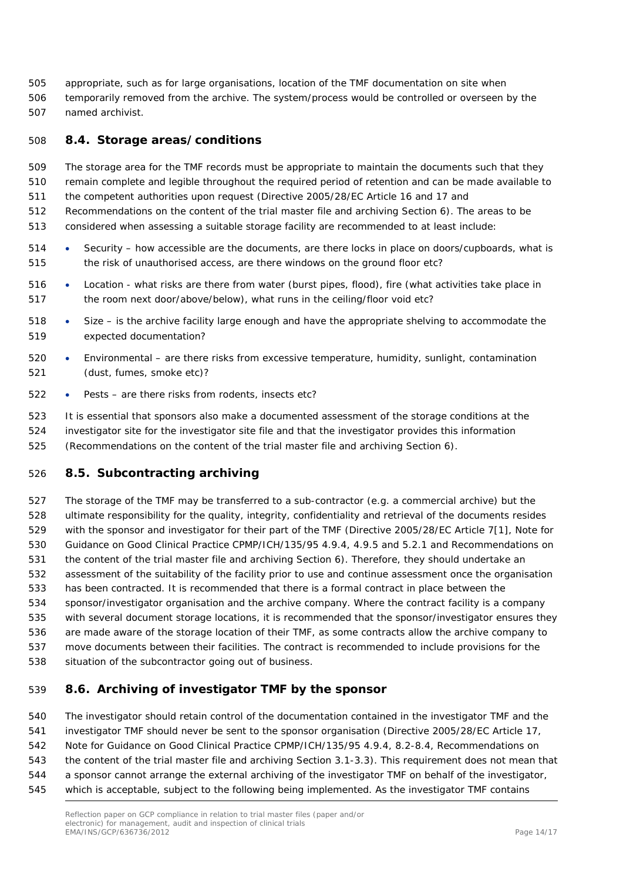appropriate, such as for large organisations, location of the TMF documentation on site when temporarily removed from the archive. The system/process would be controlled or overseen by the named archivist.

### <span id="page-13-0"></span>*8.4. Storage areas/conditions*

 The storage area for the TMF records must be appropriate to maintain the documents such that they remain complete and legible throughout the required period of retention and can be made available to

the competent authorities upon request (Directive 2005/28/EC Article 16 and 17 and

Recommendations on the content of the trial master file and archiving Section 6). The areas to be

- considered when assessing a suitable storage facility are recommended to at least include:
- Security how accessible are the documents, are there locks in place on doors/cupboards, what is the risk of unauthorised access, are there windows on the ground floor etc?
- Location what risks are there from water (burst pipes, flood), fire (what activities take place in the room next door/above/below), what runs in the ceiling/floor void etc?
- Size is the archive facility large enough and have the appropriate shelving to accommodate the expected documentation?
- Environmental are there risks from excessive temperature, humidity, sunlight, contamination (dust, fumes, smoke etc)?
- Pests are there risks from rodents, insects etc?

 It is essential that sponsors also make a documented assessment of the storage conditions at the investigator site for the investigator site file and that the investigator provides this information (Recommendations on the content of the trial master file and archiving Section 6).

### <span id="page-13-1"></span>*8.5. Subcontracting archiving*

 The storage of the TMF may be transferred to a sub-contractor (e.g. a commercial archive) but the ultimate responsibility for the quality, integrity, confidentiality and retrieval of the documents resides with the sponsor and investigator for their part of the TMF (Directive 2005/28/EC Article 7[1], Note for Guidance on Good Clinical Practice CPMP/ICH/135/95 4.9.4, 4.9.5 and 5.2.1 and Recommendations on the content of the trial master file and archiving Section 6). Therefore, they should undertake an assessment of the suitability of the facility prior to use and continue assessment once the organisation has been contracted. It is recommended that there is a formal contract in place between the sponsor/investigator organisation and the archive company. Where the contract facility is a company with several document storage locations, it is recommended that the sponsor/investigator ensures they are made aware of the storage location of their TMF, as some contracts allow the archive company to move documents between their facilities. The contract is recommended to include provisions for the situation of the subcontractor going out of business.

### <span id="page-13-2"></span>*8.6. Archiving of investigator TMF by the sponsor*

 The investigator should retain control of the documentation contained in the investigator TMF and the investigator TMF should never be sent to the sponsor organisation (Directive 2005/28/EC Article 17, Note for Guidance on Good Clinical Practice CPMP/ICH/135/95 4.9.4, 8.2-8.4, Recommendations on the content of the trial master file and archiving Section 3.1-3.3). This requirement does not mean that a sponsor cannot arrange the external archiving of the investigator TMF on behalf of the investigator, which is acceptable, subject to the following being implemented. As the investigator TMF contains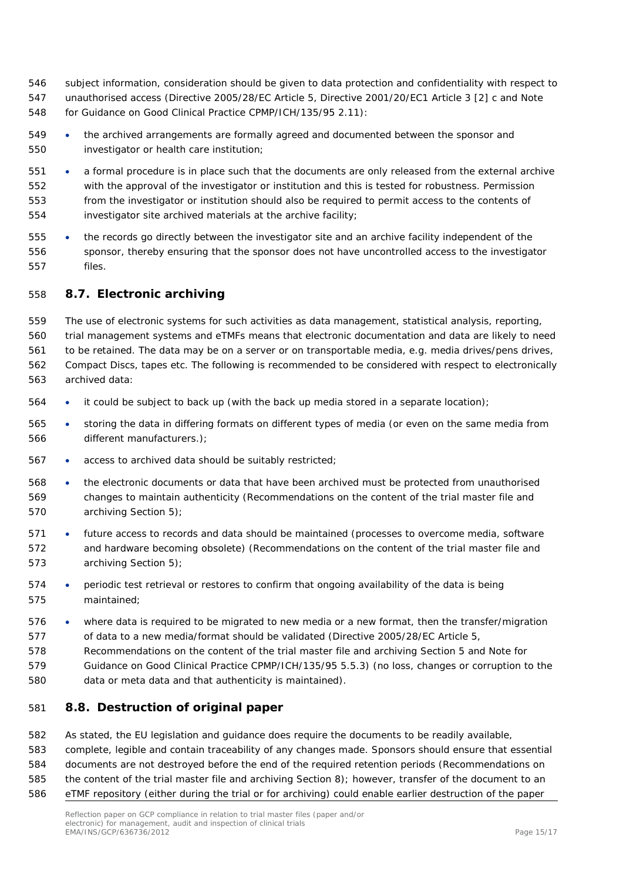- subject information, consideration should be given to data protection and confidentiality with respect to unauthorised access (Directive 2005/28/EC Article 5, Directive 2001/20/EC1 Article 3 [2] c and Note for Guidance on Good Clinical Practice CPMP/ICH/135/95 2.11):
- the archived arrangements are formally agreed and documented between the sponsor and investigator or health care institution;
- a formal procedure is in place such that the documents are only released from the external archive with the approval of the investigator or institution and this is tested for robustness. Permission from the investigator or institution should also be required to permit access to the contents of investigator site archived materials at the archive facility;
- the records go directly between the investigator site and an archive facility independent of the sponsor, thereby ensuring that the sponsor does not have uncontrolled access to the investigator files.

### <span id="page-14-0"></span>*8.7. Electronic archiving*

 The use of electronic systems for such activities as data management, statistical analysis, reporting, trial management systems and eTMFs means that electronic documentation and data are likely to need to be retained. The data may be on a server or on transportable media, e.g. media drives/pens drives, Compact Discs, tapes etc. The following is recommended to be considered with respect to electronically archived data:

- it could be subject to back up (with the back up media stored in a separate location);
- storing the data in differing formats on different types of media (or even on the same media from different manufacturers.);
- access to archived data should be suitably restricted;
- the electronic documents or data that have been archived must be protected from unauthorised changes to maintain authenticity (Recommendations on the content of the trial master file and archiving Section 5);
- future access to records and data should be maintained (processes to overcome media, software and hardware becoming obsolete) (Recommendations on the content of the trial master file and archiving Section 5);
- periodic test retrieval or restores to confirm that ongoing availability of the data is being maintained;
- where data is required to be migrated to new media or a new format, then the transfer/migration of data to a new media/format should be validated (Directive 2005/28/EC Article 5,
- Recommendations on the content of the trial master file and archiving Section 5 and Note for
- Guidance on Good Clinical Practice CPMP/ICH/135/95 5.5.3) (no loss, changes or corruption to the
- data or meta data and that authenticity is maintained).

### <span id="page-14-1"></span>*8.8. Destruction of original paper*

- As stated, the EU legislation and guidance does require the documents to be readily available,
- complete, legible and contain traceability of any changes made. Sponsors should ensure that essential
- documents are not destroyed before the end of the required retention periods (Recommendations on
- the content of the trial master file and archiving Section 8); however, transfer of the document to an
- eTMF repository (either during the trial or for archiving) could enable earlier destruction of the paper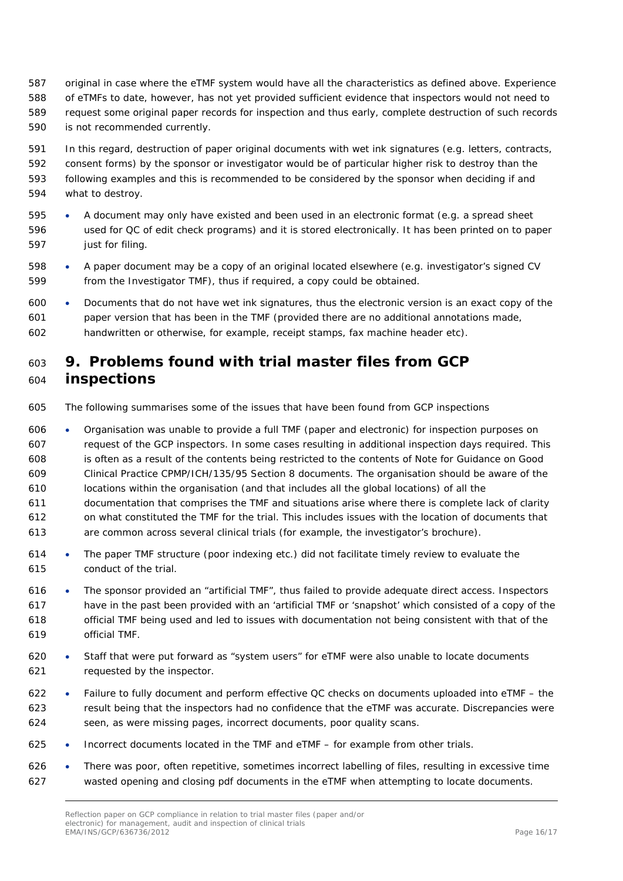- original in case where the eTMF system would have all the characteristics as defined above. Experience of eTMFs to date, however, has not yet provided sufficient evidence that inspectors would not need to request some original paper records for inspection and thus early, complete destruction of such records is not recommended currently.
- In this regard, destruction of paper original documents with wet ink signatures (e.g. letters, contracts,
- consent forms) by the sponsor or investigator would be of particular higher risk to destroy than the
- following examples and this is recommended to be considered by the sponsor when deciding if and what to destroy.
- A document may only have existed and been used in an electronic format (e.g. a spread sheet used for QC of edit check programs) and it is stored electronically. It has been printed on to paper **just for filing.**
- A paper document may be a copy of an original located elsewhere (e.g. investigator's signed CV from the Investigator TMF), thus if required, a copy could be obtained.
- Documents that do not have wet ink signatures, thus the electronic version is an exact copy of the paper version that has been in the TMF (provided there are no additional annotations made, handwritten or otherwise, for example, receipt stamps, fax machine header etc).

## <span id="page-15-0"></span> **9. Problems found with trial master files from GCP inspections**

The following summarises some of the issues that have been found from GCP inspections

 • Organisation was unable to provide a full TMF (paper and electronic) for inspection purposes on request of the GCP inspectors. In some cases resulting in additional inspection days required. This is often as a result of the contents being restricted to the contents of Note for Guidance on Good Clinical Practice CPMP/ICH/135/95 Section 8 documents. The organisation should be aware of the locations within the organisation (and that includes all the global locations) of all the documentation that comprises the TMF and situations arise where there is complete lack of clarity on what constituted the TMF for the trial. This includes issues with the location of documents that are common across several clinical trials (for example, the investigator's brochure).

- The paper TMF structure (poor indexing etc.) did not facilitate timely review to evaluate the conduct of the trial.
- The sponsor provided an "artificial TMF", thus failed to provide adequate direct access. Inspectors have in the past been provided with an 'artificial TMF or 'snapshot' which consisted of a copy of the official TMF being used and led to issues with documentation not being consistent with that of the official TMF.
- Staff that were put forward as "system users" for eTMF were also unable to locate documents requested by the inspector.
- Failure to fully document and perform effective QC checks on documents uploaded into eTMF the result being that the inspectors had no confidence that the eTMF was accurate. Discrepancies were seen, as were missing pages, incorrect documents, poor quality scans.
- Incorrect documents located in the TMF and eTMF for example from other trials.
- There was poor, often repetitive, sometimes incorrect labelling of files, resulting in excessive time wasted opening and closing pdf documents in the eTMF when attempting to locate documents.